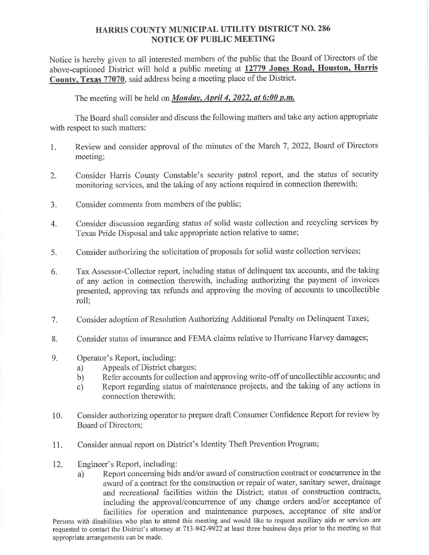## HARRIS COUNTY MUNICIPAL UTILITY DISTRICT NO. 286 NOTICE OF PUBLIC MEETING

Notice is hereby given to all interested members of the public that the Board of Directors of the above-captioned District will hold a public meeting at 12779 Jones Road, Houston, Harris Notice is he<br>above-capti<br>County, Te County, Texas 77070, said address being a meeting place of the District. TY DISTRICT NO<br>EETING<br>ublic that the Board<br>12779 Jones Road

The meeting will be held on *Monday, April 4, 2022, at 6:00 p.m.* 

The Board shall consider and discuss the following matters and take any action appropriate with respect to such matters:

- 1. Review and consider approval of the minutes of the March 7, 2022, Board of Directors meeting;
- Consider Harris County Constable's security patrol report, and the status of security 2. monitoring services, and the taking of any actions required in connection therewith;
- Consider comments from members of the public;  $3.$
- Consider discussion regarding status of solid waste collection and recycling services by  $4.$ Texas Pride Disposal and take appropriate action relative to same;
- Consider authorizing the solicitation of proposals for solid waste collection services; 5.
- Tax Assessor-Collector report, including status of delinquent tax accounts, and the taking 6. of any action in connection therewith, including authorizing the payment of invoices presented, approving tax refunds and approving the moving of accounts to uncollectible roll;
- Consider adoption of Resolution Authorizing Additional Penalty on Delinquent Taxes; 7.
- Consider status of insurance and FEMA claims relative to Hurricane Harvey damages; 8.
- Operator's Report, including: 9.
	- a) Appeals of District charges;
	- b) Refer accounts for collection and approving write-off of uncollectible accounts; and
	- c) Report regarding status of maintenance projects, and the taking of any actions in connection therewith;
- 10. Consider authorizing operator to prepare draft Consumer Confidence Report for review by Board of Directors;
- 11. Consider annual report on District's Identity Theft Prevention Program;
- 12. Engineer's Report, including:
	- a) Report concerning bids and/or award of construction contract or concurrence in the award of a contract for the construction or repair of water, sanitary sewer, drainage and recreational facilities within the District; status of construction contracts, including the approval/concurrence of any change orders and/or acceptance of facilities for operation and maintenance purposes, acceptance of site and/or

Persons with disabilities who plan to attend this meeting and would like to request auxiliary aids or services are requested to contact the District's attorney at 713-942-9922 at least three business days prior to the meeting so that appropriate arrangements can be made.